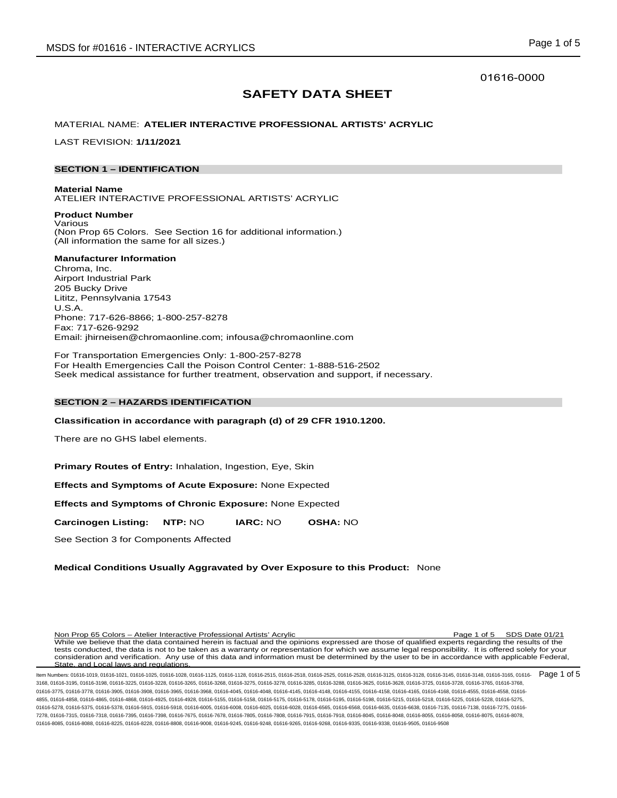## 01616-0000

# **SAFETY DATA SHEET**

## MATERIAL NAME: **ATELIER INTERACTIVE PROFESSIONAL ARTISTS' ACRYLIC**

LAST REVISION: **1/11/2021**

## **SECTION 1 – IDENTIFICATION**

**Material Name** ATELIER INTERACTIVE PROFESSIONAL ARTISTS' ACRYLIC

**Product Number** Various (Non Prop 65 Colors. See Section 16 for additional information.) (All information the same for all sizes.)

## **Manufacturer Information**

Chroma, Inc. Airport Industrial Park 205 Bucky Drive Lititz, Pennsylvania 17543 U.S.A. Phone: 717-626-8866; 1-800-257-8278 Fax: 717-626-9292 Email: jhirneisen@chromaonline.com; infousa@chromaonline.com

For Transportation Emergencies Only: 1-800-257-8278 For Health Emergencies Call the Poison Control Center: 1-888-516-2502 Seek medical assistance for further treatment, observation and support, if necessary.

## **SECTION 2 – HAZARDS IDENTIFICATION**

**Classification in accordance with paragraph (d) of 29 CFR 1910.1200.**

There are no GHS label elements.

**Primary Routes of Entry:** Inhalation, Ingestion, Eye, Skin

**Effects and Symptoms of Acute Exposure:** None Expected

**Effects and Symptoms of Chronic Exposure:** None Expected

**Carcinogen Listing: NTP:** NO **IARC:** NO **OSHA:** NO

See Section 3 for Components Affected

## **Medical Conditions Usually Aggravated by Over Exposure to this Product:** None

Non Prop 65 Colors – Atelier Interactive Professional Artists' Acrylic Page 1 of 5 SDS Date 01/21 While we believe that the data contained herein is factual and the opinions expressed are those of qualified experts regarding the results of the tests conducted, the data is not to be taken as a warranty or representation for which we assume legal responsibility. It is offered solely for your consideration and verification. Any use of this data and information must be determined by the user to be in accordance with applicable Federal, State, and Local laws and regulations.

ltem Numbers: 01616-1019, 01616-1021, 01616-1025, 01616-1028, 01616-1125, 01616-2515, 01616-2518, 01616-2525, 01616-2528, 01616-3125, 01616-3125, 01616-3148, 01616-3148, 01616-3148, 01616-3148, 01616-3148, 01616-3148, 0161 3168, 01616-3195, 01616-3198, 01616-3225, 01616-3228, 01616-3265, 01616-3268, 01616-3275, 01616-3278, 01616-3285, 01616-3288, 01616-3625, 01616-3628, 01616-3725, 01616-3728, 01616-3765, 01616-3768, 01616-3775, 01616-3778, 01616-3905, 01616-3908, 01616-3968, 01616-4045, 01616-4048, 01616-4145, 01616-4156, 01616-4158, 01616-4165, 01616-4168, 01616-4555, 01616-4555, 01616-4555, 01616-4158, 01616-4158, 01616-4555, 01616-4 4855, 01616-4858, 01616-4865, 01616-4868, 01616-4925, 01616-4928, 01616-5155, 01616-5158, 01616-5175, 01616-5178, 01616-5195, 01616-5198, 01616-5215, 01616-5218, 01616-5225, 01616-5228, 01616-5275, 01616-5278, 01616-5375, 01616-5378, 01616-5915, 01616-5918, 01616-6005, 01616-6008, 01616-6025, 01616-6028, 01616-6565, 01616-6568, 01616-6568, 01616-65638, 01616-7135, 01616-7138, 01616-7275, 01616-7275, 01616-7275, 01616-7278, 01616-7315, 01616-7318, 01616-7395, 01616-7398, 01616-7675, 01616-7678, 01616-7805, 01616-7808, 01616-7915, 01616-7918, 01616-8045, 01616-8048, 01616-8055, 01616-8058, 01616-8075, 01616-8078, 01616-8085, 01616-8088, 01616-8225, 01616-8228, 01616-8808, 01616-9008, 01616-9245, 01616-9248, 01616-9265, 01616-9268, 01616-9335, 01616-9338, 01616-9505, 01616-9508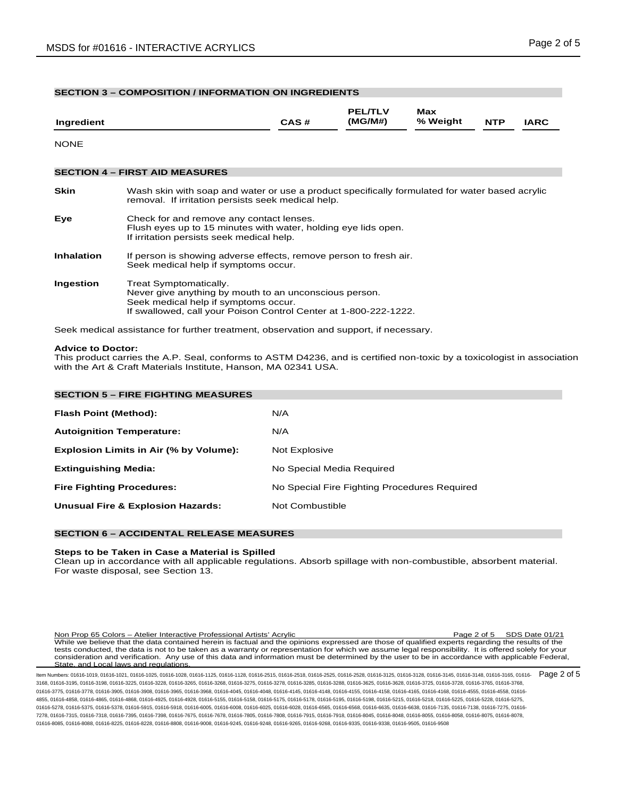| <b>SECTION 3 - COMPOSITION / INFORMATION ON INGREDIENTS</b> |                                                                                                                                                                                              |      |                           |                 |            |             |  |
|-------------------------------------------------------------|----------------------------------------------------------------------------------------------------------------------------------------------------------------------------------------------|------|---------------------------|-----------------|------------|-------------|--|
| Ingredient                                                  |                                                                                                                                                                                              | CAS# | <b>PEL/TLV</b><br>(MG/M#) | Max<br>% Weight | <b>NTP</b> | <b>IARC</b> |  |
| <b>NONE</b>                                                 |                                                                                                                                                                                              |      |                           |                 |            |             |  |
|                                                             | <b>SECTION 4 – FIRST AID MEASURES</b>                                                                                                                                                        |      |                           |                 |            |             |  |
| <b>Skin</b>                                                 | Wash skin with soap and water or use a product specifically formulated for water based acrylic<br>removal. If irritation persists seek medical help.                                         |      |                           |                 |            |             |  |
| Eye                                                         | Check for and remove any contact lenses.<br>Flush eyes up to 15 minutes with water, holding eye lids open.<br>If irritation persists seek medical help.                                      |      |                           |                 |            |             |  |
| <b>Inhalation</b>                                           | If person is showing adverse effects, remove person to fresh air.<br>Seek medical help if symptoms occur.                                                                                    |      |                           |                 |            |             |  |
| Ingestion                                                   | Treat Symptomatically.<br>Never give anything by mouth to an unconscious person.<br>Seek medical help if symptoms occur.<br>If swallowed, call your Poison Control Center at 1-800-222-1222. |      |                           |                 |            |             |  |
|                                                             |                                                                                                                                                                                              |      |                           |                 |            |             |  |

Seek medical assistance for further treatment, observation and support, if necessary.

## **Advice to Doctor:**

This product carries the A.P. Seal, conforms to ASTM D4236, and is certified non-toxic by a toxicologist in association with the Art & Craft Materials Institute, Hanson, MA 02341 USA.

| <b>SECTION 5 - FIRE FIGHTING MEASURES</b>    |                                              |
|----------------------------------------------|----------------------------------------------|
| Flash Point (Method):                        | N/A                                          |
| <b>Autoignition Temperature:</b>             | N/A                                          |
| Explosion Limits in Air (% by Volume):       | Not Explosive                                |
| <b>Extinguishing Media:</b>                  | No Special Media Required                    |
| <b>Fire Fighting Procedures:</b>             | No Special Fire Fighting Procedures Required |
| <b>Unusual Fire &amp; Explosion Hazards:</b> | Not Combustible                              |

## **SECTION 6 – ACCIDENTAL RELEASE MEASURES**

## **Steps to be Taken in Case a Material is Spilled**

Clean up in accordance with all applicable regulations. Absorb spillage with non-combustible, absorbent material. For waste disposal, see Section 13.

Non Prop 65 Colors – Atelier Interactive Professional Artists' Acrylic Page 2 of 5 SDS Date 01/21 While we believe that the data contained herein is factual and the opinions expressed are those of qualified experts regarding the results of the tests conducted, the data is not to be taken as a warranty or representation for which we assume legal responsibility. It is offered solely for your consideration and verification. Any use of this data and information must be determined by the user to be in accordance with applicable Federal, State, and Local laws and regulations.

ltem Numbers: 01616-1019, 01616-1021, 01616-1025, 01616-1028, 01616-1125, 01616-2515, 01616-2518, 01616-2525, 01616-2528, 01616-3125, 01616-3125, 01616-3148, 01616-3148, 01616-3148, 01616-3148, 01616-3148, 01616-3148, 0161 3168, 01616-3195, 01616-3198, 01616-3225, 01616-3228, 01616-3265, 01616-3268, 01616-3275, 01616-3278, 01616-3285, 01616-3288, 01616-3625, 01616-3628, 01616-3725, 01616-3728, 01616-3765, 01616-3768, 01616-3775, 01616-3778, 01616-3905, 01616-3908, 01616-3968, 01616-4045, 01616-4048, 01616-4145, 01616-4156, 01616-4158, 01616-4165, 01616-4168, 01616-4555, 01616-4555, 01616-4555, 01616-4158, 01616-4158, 01616-4555, 01616-4 4855, 01616-4858, 01616-4865, 01616-4868, 01616-4925, 01616-4928, 01616-5155, 01616-5158, 01616-5175, 01616-5178, 01616-5195, 01616-5198, 01616-5215, 01616-5218, 01616-5225, 01616-5228, 01616-5275, 01616-5278, 01616-5375, 01616-5378, 01616-5915, 01616-5918, 01616-6005, 01616-6008, 01616-6025, 01616-6028, 01616-6565, 01616-6568, 01616-6635, 01616-6638, 01616-7135, 01616-7138, 01616-7275, 01616- 7278, 01616-7315, 01616-7318, 01616-7395, 01616-7398, 01616-7675, 01616-7678, 01616-7805, 01616-7808, 01616-7915, 01616-7918, 01616-8045, 01616-8048, 01616-8055, 01616-8058, 01616-8075, 01616-8078, 01616-8085, 01616-8088, 01616-8225, 01616-8228, 01616-8808, 01616-9008, 01616-9245, 01616-9248, 01616-9265, 01616-9268, 01616-9335, 01616-9338, 01616-9505, 01616-9508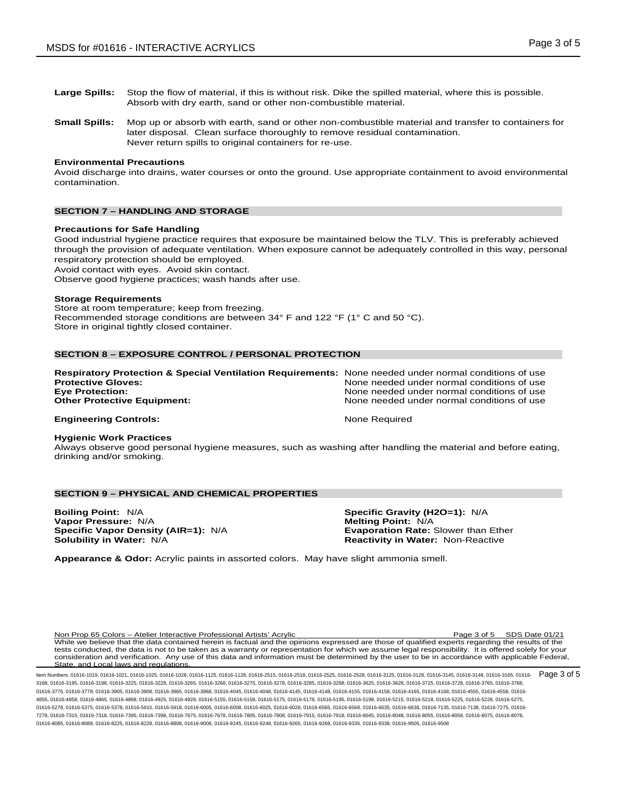- **Large Spills:** Stop the flow of material, if this is without risk. Dike the spilled material, where this is possible. Absorb with dry earth, sand or other non-combustible material.
- **Small Spills:** Mop up or absorb with earth, sand or other non-combustible material and transfer to containers for later disposal. Clean surface thoroughly to remove residual contamination. Never return spills to original containers for re-use.

### **Environmental Precautions**

Avoid discharge into drains, water courses or onto the ground. Use appropriate containment to avoid environmental contamination.

## **SECTION 7 – HANDLING AND STORAGE**

#### **Precautions for Safe Handling**

Good industrial hygiene practice requires that exposure be maintained below the TLV. This is preferably achieved through the provision of adequate ventilation. When exposure cannot be adequately controlled in this way, personal respiratory protection should be employed.

Avoid contact with eyes. Avoid skin contact.

Observe good hygiene practices; wash hands after use.

#### **Storage Requirements**

Store at room temperature; keep from freezing. Recommended storage conditions are between 34° F and 122 °F (1° C and 50 °C). Store in original tightly closed container.

## **SECTION 8 – EXPOSURE CONTROL / PERSONAL PROTECTION**

| <b>Respiratory Protection &amp; Special Ventilation Requirements:</b> None needed under normal conditions of use<br><b>Protective Gloves:</b> | None needed under normal conditions of use                                               |
|-----------------------------------------------------------------------------------------------------------------------------------------------|------------------------------------------------------------------------------------------|
| <b>Eye Protection:</b><br><b>Other Protective Equipment:</b>                                                                                  | None needed under normal conditions of use<br>None needed under normal conditions of use |
| <b>Engineering Controls:</b>                                                                                                                  | None Required                                                                            |

#### **Hygienic Work Practices**

Always observe good personal hygiene measures, such as washing after handling the material and before eating, drinking and/or smoking.

## **SECTION 9 – PHYSICAL AND CHEMICAL PROPERTIES**

**Boiling Point:** N/A **Specific Gravity (H2O=1):** N/A **Specific Vapor Density (AIR=1): N/A Solubility in Water: N/A** 

**Melting Point: N/A<br><b>Evaporation Rate:** Slower than Ether **Reactivity in Water: Non-Reactive** 

**Appearance & Odor:** Acrylic paints in assorted colors. May have slight ammonia smell.

Non Prop 65 Colors – Atelier Interactive Professional Artists' Acrylic Page 3 of 5 SDS Date 01/21 While we believe that the data contained herein is factual and the opinions expressed are those of qualified experts regarding the results of the tests conducted, the data is not to be taken as a warranty or representation for which we assume legal responsibility. It is offered solely for your consideration and verification. Any use of this data and information must be determined by the user to be in accordance with applicable Federal, State, and Local laws and regulations.

ltem Numbers: 01616-1019, 01616-1021, 01616-1025, 01616-1028, 01616-1125, 01616-2515, 01616-2518, 01616-2525, 01616-2528, 01616-3125, 01616-3125, 01616-3148, 01616-3148, 01616-3148, 01616-3148, 01616-3148, 01616-3148, 0161 3168, 01616-3195, 01616-3198, 01616-3225, 01616-3228, 01616-3265, 01616-3268, 01616-3275, 01616-3278, 01616-3285, 01616-3288, 01616-3625, 01616-3628, 01616-3725, 01616-3728, 01616-3765, 01616-3768, 01616-3775, 01616-3778, 01616-3905, 01616-3908, 01616-3968, 01616-4045, 01616-4048, 01616-4145, 01616-4156, 01616-4158, 01616-4165, 01616-4168, 01616-4555, 01616-4555, 01616-4555, 01616-4158, 01616-4158, 01616-4555, 01616-4 4855, 01616-4858, 01616-4865, 01616-4868, 01616-4925, 01616-4928, 01616-5155, 01616-5158, 01616-5175, 01616-5178, 01616-5195, 01616-5198, 01616-5215, 01616-5218, 01616-5225, 01616-5228, 01616-5275, 01616-5278, 01616-5375, 01616-5378, 01616-5915, 01616-5918, 01616-6005, 01616-6008, 01616-6025, 01616-6028, 01616-6565, 01616-6568, 01616-6638, 01616-6638, 01616-67135, 01616-7135, 01616-6275, 01616-7135, 01616-7138, 01616-7278, 01616-7315, 01616-7318, 01616-7395, 01616-7398, 01616-7675, 01616-7678, 01616-7805, 01616-7808, 01616-7915, 01616-7918, 01616-8045, 01616-8048, 01616-8055, 01616-8058, 01616-8075, 01616-8078, 01616-8085, 01616-8088, 01616-8225, 01616-8228, 01616-8808, 01616-9008, 01616-9245, 01616-9248, 01616-9265, 01616-9268, 01616-9335, 01616-9338, 01616-9505, 01616-9508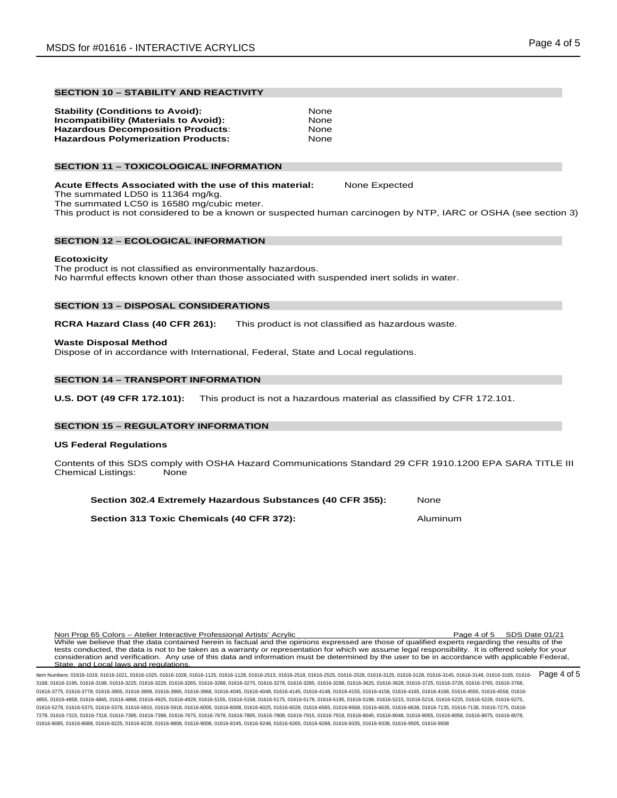## **SECTION 10 – STABILITY AND REACTIVITY**

| <b>Stability (Conditions to Avoid):</b>      | None |
|----------------------------------------------|------|
| <b>Incompatibility (Materials to Avoid):</b> | None |
| <b>Hazardous Decomposition Products:</b>     | None |
| <b>Hazardous Polymerization Products:</b>    | None |

## **SECTION 11 – TOXICOLOGICAL INFORMATION**

**Acute Effects Associated with the use of this material:** None Expected The summated LD50 is 11364 mg/kg. The summated LC50 is 16580 mg/cubic meter.

## This product is not considered to be a known or suspected human carcinogen by NTP, IARC or OSHA (see section 3)

## **SECTION 12 – ECOLOGICAL INFORMATION**

## **Ecotoxicity**

The product is not classified as environmentally hazardous. No harmful effects known other than those associated with suspended inert solids in water.

## **SECTION 13 – DISPOSAL CONSIDERATIONS**

**RCRA Hazard Class (40 CFR 261):** This product is not classified as hazardous waste.

## **Waste Disposal Method**

Dispose of in accordance with International, Federal, State and Local regulations.

## **SECTION 14 – TRANSPORT INFORMATION**

**U.S. DOT (49 CFR 172.101):** This product is not a hazardous material as classified by CFR 172.101.

## **SECTION 15 – REGULATORY INFORMATION**

#### **US Federal Regulations**

Contents of this SDS comply with OSHA Hazard Communications Standard 29 CFR 1910.1200 EPA SARA TITLE III<br>Chemical Listings: None Chemical Listings:

| Section 302.4 Extremely Hazardous Substances (40 CFR 355): |  | None |
|------------------------------------------------------------|--|------|
|------------------------------------------------------------|--|------|

**Section 313 Toxic Chemicals (40 CFR 372):** Aluminum

Non Prop 65 Colors – Atelier Interactive Professional Artists' Acrylic Page 4 of 5 SDS Date 01/21 While we believe that the data contained herein is factual and the opinions expressed are those of qualified experts regarding the results of the tests conducted, the data is not to be taken as a warranty or representation for which we assume legal responsibility. It is offered solely for your consideration and verification. Any use of this data and information must be determined by the user to be in accordance with applicable Federal, State, and Local laws and requiations. and Local laws and regulations.

ltem Numbers: 01616-1019, 01616-1021, 01616-1025, 01616-1028, 01616-1125, 01616-2515, 01616-2518, 01616-2525, 01616-2528, 01616-3125, 01616-3125, 01616-3148, 01616-3148, 01616-3148, 01616-3148, 01616-3148, 01616-3148, 0161 3168, 01616-3195, 01616-3198, 01616-3225, 01616-3228, 01616-3265, 01616-3268, 01616-3275, 01616-3278, 01616-3285, 01616-3288, 01616-3625, 01616-3628, 01616-3725, 01616-3728, 01616-3765, 01616-3768, 01616-3775, 01616-3778, 01616-3905, 01616-3908, 01616-3968, 01616-4045, 01616-4048, 01616-4145, 01616-4156, 01616-4158, 01616-4165, 01616-4168, 01616-4555, 01616-4555, 01616-4555, 01616-4158, 01616-4158, 01616-4555, 01616-4 4855, 01616-4858, 01616-4865, 01616-4868, 01616-4925, 01616-4928, 01616-5155, 01616-5158, 01616-5175, 01616-5178, 01616-5195, 01616-5198, 01616-5215, 01616-5218, 01616-5225, 01616-5228, 01616-5275, 01616-5278, 01616-5375, 01616-5378, 01616-5915, 01616-5918, 01616-6005, 01616-6008, 01616-6025, 01616-6028, 01616-6565, 01616-6568, 01616-6638, 01616-6638, 01616-67135, 01616-7135, 01616-6275, 01616-7135, 01616-7138, 01616-7278, 01616-7315, 01616-7318, 01616-7395, 01616-7398, 01616-7675, 01616-7678, 01616-7805, 01616-7808, 01616-7915, 01616-7918, 01616-8045, 01616-8048, 01616-8055, 01616-8058, 01616-8075, 01616-8078, 01616-8085, 01616-8088, 01616-8225, 01616-8228, 01616-8808, 01616-9008, 01616-9245, 01616-9248, 01616-9265, 01616-9268, 01616-9335, 01616-9338, 01616-9505, 01616-9508